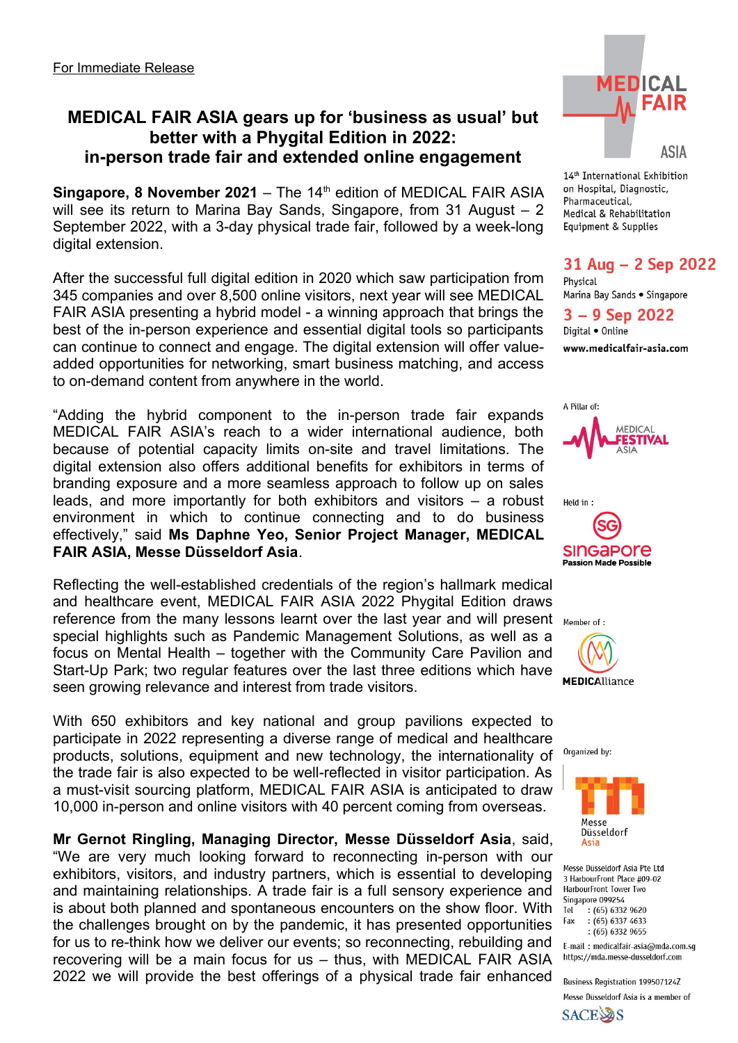# **MEDICAL FAIR ASIA gears up for 'business as usual' but better with a Phygital Edition in 2022: in-person trade fair and extended online engagement**

**Singapore, 8 November 2021** – The 14<sup>th</sup> edition of MEDICAL FAIR ASIA will see its return to Marina Bay Sands, Singapore, from 31 August - 2 September 2022, with a 3-day physical trade fair, followed by a week-long digital extension.

After the successful full digital edition in 2020 which saw participation from 345 companies and over 8,500 online visitors, next year will see MEDICAL FAIR ASIA presenting a hybrid model - a winning approach that brings the best of the in-person experience and essential digital tools so participants can continue to connect and engage. The digital extension will offer valueadded opportunities for networking, smart business matching, and access to on-demand content from anywhere in the world.

"Adding the hybrid component to the in-person trade fair expands MEDICAL FAIR ASIA's reach to a wider international audience, both because of potential capacity limits on-site and travel limitations. The digital extension also offers additional benefits for exhibitors in terms of branding exposure and a more seamless approach to follow up on sales leads, and more importantly for both exhibitors and visitors – a robust environment in which to continue connecting and to do business effectively," said **Ms Daphne Yeo, Senior Project Manager, MEDICAL FAIR ASIA, Messe Düsseldorf Asia**.

Reflecting the well-established credentials of the region's hallmark medical and healthcare event, MEDICAL FAIR ASIA 2022 Phygital Edition draws reference from the many lessons learnt over the last year and will present Member of: special highlights such as Pandemic Management Solutions, as well as a focus on Mental Health – together with the Community Care Pavilion and Start-Up Park; two regular features over the last three editions which have seen growing relevance and interest from trade visitors.

With 650 exhibitors and key national and group pavilions expected to participate in 2022 representing a diverse range of medical and healthcare products, solutions, equipment and new technology, the internationality of the trade fair is also expected to be well-reflected in visitor participation. As a must-visit sourcing platform, MEDICAL FAIR ASIA is anticipated to draw 10,000 in-person and online visitors with 40 percent coming from overseas.

### **Mr Gernot Ringling, Managing Director, Messe Düsseldorf Asia**, said,

"We are very much looking forward to reconnecting in-person with our exhibitors, visitors, and industry partners, which is essential to developing and maintaining relationships. A trade fair is a full sensory experience and is about both planned and spontaneous encounters on the show floor. With the challenges brought on by the pandemic, it has presented opportunities for us to re-think how we deliver our events; so reconnecting, rebuilding and recovering will be a main focus for us – thus, with MEDICAL FAIR ASIA 2022 we will provide the best offerings of a physical trade fair enhanced



14<sup>th</sup> International Exhibition on Hospital, Diagnostic. Pharmaceutical, Medical & Rehabilitation Equipment & Supplies

# 31 Aug - 2 Sep 2022

Physical Marina Bay Sands . Singapore

### $3 - 9$  Sep 2022

Digital . Online www.medicalfair-asia.com







Organized by:



Messe Düsseldorf Asia Pte Ltd 3 HarbourFront Place #09-02 HarbourFront Tower Two Singapore 099254 Tel  $(65)$  6332 9620  $(65)$  6337 4633 Fax  $(65)$  6332 9655

E-mail: medicalfair-asia@mda.com.sq https://mda.messe-dusseldorf.com

**Business Registration 199507124Z** Messe Düsseldorf Asia is a member of